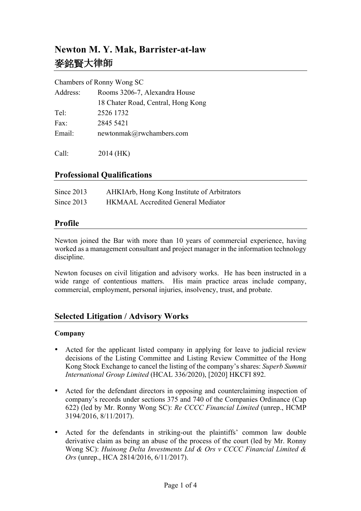# **Newton M. Y. Mak, Barrister-at-law** 麥銘賢大律師

#### Chambers of Ronny Wong SC

| Address:        | Rooms 3206-7, Alexandra House      |
|-----------------|------------------------------------|
|                 | 18 Chater Road, Central, Hong Kong |
| Te <sup>1</sup> | 2526 1732                          |
| Fax:            | 2845 5421                          |
| Email:          | newtonmak@rwchambers.com           |
|                 |                                    |

Call: 2014 (HK)

## **Professional Qualifications**

| Since 2013 | AHKIArb, Hong Kong Institute of Arbitrators |
|------------|---------------------------------------------|
| Since 2013 | <b>HKMAAL Accredited General Mediator</b>   |

## **Profile**

Newton joined the Bar with more than 10 years of commercial experience, having worked as a management consultant and project manager in the information technology discipline.

Newton focuses on civil litigation and advisory works. He has been instructed in a wide range of contentious matters. His main practice areas include company, commercial, employment, personal injuries, insolvency, trust, and probate.

## **Selected Litigation / Advisory Works**

#### **Company**

- Acted for the applicant listed company in applying for leave to judicial review decisions of the Listing Committee and Listing Review Committee of the Hong Kong Stock Exchange to cancel the listing of the company's shares: *Superb Summit International Group Limited* (HCAL 336/2020), [2020] HKCFI 892.
- Acted for the defendant directors in opposing and counterclaiming inspection of company's records under sections 375 and 740 of the Companies Ordinance (Cap 622) (led by Mr. Ronny Wong SC): *Re CCCC Financial Limited* (unrep., HCMP 3194/2016, 8/11/2017).
- Acted for the defendants in striking-out the plaintiffs' common law double derivative claim as being an abuse of the process of the court (led by Mr. Ronny Wong SC): *Huinong Delta Investments Ltd & Ors v CCCC Financial Limited & Ors* (unrep., HCA 2814/2016, 6/11/2017).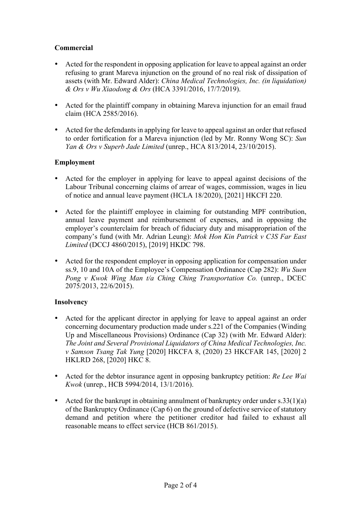### **Commercial**

- Acted for the respondent in opposing application for leave to appeal against an order refusing to grant Mareva injunction on the ground of no real risk of dissipation of assets (with Mr. Edward Alder): *China Medical Technologies, Inc. (in liquidation) & Ors v Wu Xiaodong & Ors* (HCA 3391/2016, 17/7/2019).
- Acted for the plaintiff company in obtaining Mareva injunction for an email fraud claim (HCA 2585/2016).
- Acted for the defendants in applying for leave to appeal against an order that refused to order fortification for a Mareva injunction (led by Mr. Ronny Wong SC): *Sun Yan & Ors v Superb Jade Limited* (unrep., HCA 813/2014, 23/10/2015).

#### **Employment**

- Acted for the employer in applying for leave to appeal against decisions of the Labour Tribunal concerning claims of arrear of wages, commission, wages in lieu of notice and annual leave payment (HCLA 18/2020), [2021] HKCFI 220.
- Acted for the plaintiff employee in claiming for outstanding MPF contribution, annual leave payment and reimbursement of expenses, and in opposing the employer's counterclaim for breach of fiduciary duty and misappropriation of the company's fund (with Mr. Adrian Leung): *Mok Hon Kin Patrick v C3S Far East Limited* (DCCJ 4860/2015), [2019] HKDC 798.
- Acted for the respondent employer in opposing application for compensation under ss.9, 10 and 10A of the Employee's Compensation Ordinance (Cap 282): *Wu Suen Pong v Kwok Wing Man t/a Ching Ching Transportation Co.* (unrep., DCEC 2075/2013, 22/6/2015).

#### **Insolvency**

- Acted for the applicant director in applying for leave to appeal against an order concerning documentary production made under s.221 of the Companies (Winding Up and Miscellaneous Provisions) Ordinance (Cap 32) (with Mr. Edward Alder): *The Joint and Several Provisional Liquidators of China Medical Technologies, Inc. v Samson Tsang Tak Yung* [2020] HKCFA 8, (2020) 23 HKCFAR 145, [2020] 2 HKLRD 268, [2020] HKC 8.
- Acted for the debtor insurance agent in opposing bankruptcy petition: *Re Lee Wai Kwok* (unrep., HCB 5994/2014, 13/1/2016).
- Acted for the bankrupt in obtaining annulment of bankruptcy order under  $s.33(1)(a)$ of the Bankruptcy Ordinance (Cap 6) on the ground of defective service of statutory demand and petition where the petitioner creditor had failed to exhaust all reasonable means to effect service (HCB 861/2015).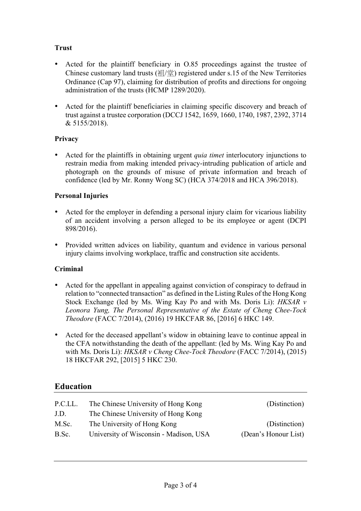## **Trust**

- Acted for the plaintiff beneficiary in O.85 proceedings against the trustee of Chinese customary land trusts  $(\frac{2\pi}{3})$  registered under s.15 of the New Territories Ordinance (Cap 97), claiming for distribution of profits and directions for ongoing administration of the trusts (HCMP 1289/2020).
- Acted for the plaintiff beneficiaries in claiming specific discovery and breach of trust against a trustee corporation (DCCJ 1542, 1659, 1660, 1740, 1987, 2392, 3714 & 5155/2018).

## **Privacy**

• Acted for the plaintiffs in obtaining urgent *quia timet* interlocutory injunctions to restrain media from making intended privacy-intruding publication of article and photograph on the grounds of misuse of private information and breach of confidence (led by Mr. Ronny Wong SC) (HCA 374/2018 and HCA 396/2018).

## **Personal Injuries**

- Acted for the employer in defending a personal injury claim for vicarious liability of an accident involving a person alleged to be its employee or agent (DCPI 898/2016).
- Provided written advices on liability, quantum and evidence in various personal injury claims involving workplace, traffic and construction site accidents.

## **Criminal**

- Acted for the appellant in appealing against conviction of conspiracy to defraud in relation to "connected transaction" as defined in the Listing Rules of the Hong Kong Stock Exchange (led by Ms. Wing Kay Po and with Ms. Doris Li): *HKSAR v Leonora Yung, The Personal Representative of the Estate of Cheng Chee-Tock Theodore* (FACC 7/2014), (2016) 19 HKCFAR 86, [2016] 6 HKC 149.
- Acted for the deceased appellant's widow in obtaining leave to continue appeal in the CFA notwithstanding the death of the appellant: (led by Ms. Wing Kay Po and with Ms. Doris Li): *HKSAR v Cheng Chee-Tock Theodore* (FACC 7/2014), (2015) 18 HKCFAR 292, [2015] 5 HKC 230.

## **Education**

| P.C.LL. | The Chinese University of Hong Kong    | (Distinction)        |
|---------|----------------------------------------|----------------------|
| J.D.    | The Chinese University of Hong Kong    |                      |
| M.Sc.   | The University of Hong Kong            | (Distinction)        |
| B.Sc.   | University of Wisconsin - Madison, USA | (Dean's Honour List) |